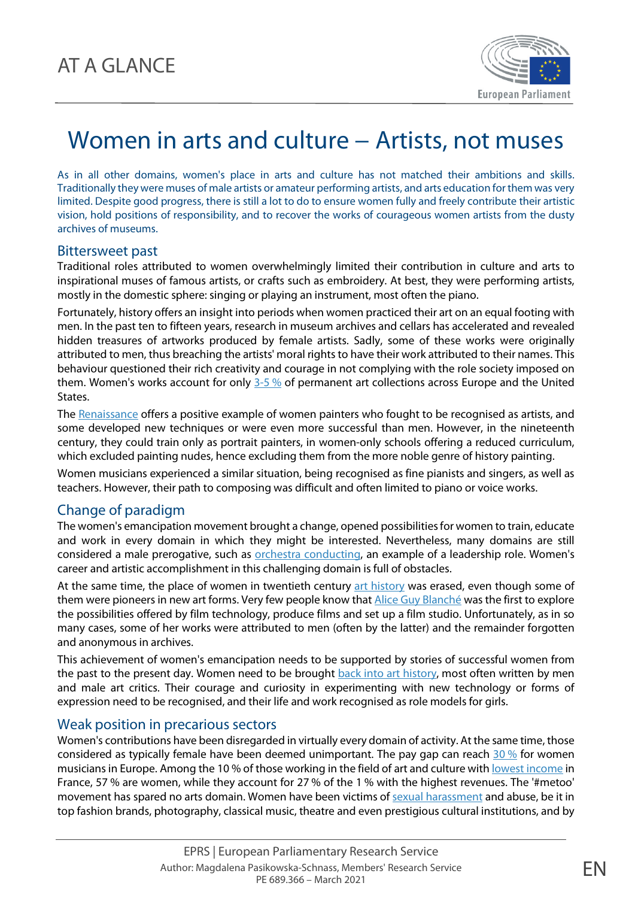

# Women in arts and culture − Artists, not muses

As in all other domains, women's place in arts and culture has not matched their ambitions and skills. Traditionally they were muses of male artists or amateur performing artists, and arts education for them was very limited. Despite good progress, there is still a lot to do to ensure women fully and freely contribute their artistic vision, hold positions of responsibility, and to recover the works of courageous women artists from the dusty archives of museums.

### Bittersweet past

Traditional roles attributed to women overwhelmingly limited their contribution in culture and arts to inspirational muses of famous artists, or crafts such as embroidery. At best, they were performing artists, mostly in the domestic sphere: singing or playing an instrument, most often the piano.

Fortunately, history offers an insight into periods when women practiced their art on an equal footing with men. In the past ten to fifteen years, research in museum archives and cellars has accelerated and revealed hidden treasures of artworks produced by female artists. Sadly, some of these works were originally attributed to men, thus breaching the artists' moral rights to have their work attributed to their names. This behaviour questioned their rich creativity and courage in not complying with the role society imposed on them. Women's works account for only [3-5](https://ec.europa.eu/culture/policies/selected-themes/gender-equality) % of permanent art collections across Europe and the United States.

Th[e Renaissance](https://www.artsy.net/article/artsy-editorial-these-women-artists-influenced-the-renaissance-and-baroque) offers a positive example of women painters who fought to be recognised as artists, and some developed new techniques or were even more successful than men. However, in the nineteenth century, they could train only as portrait painters, in women-only schools offering a reduced curriculum, which excluded painting nudes, hence excluding them from the more noble genre of history painting.

Women musicians experienced a similar situation, being recognised as fine pianists and singers, as well as teachers. However, their path to composing was difficult and often limited to piano or voice works.

## Change of paradigm

The women's emancipation movement brought a change, opened possibilities for women to train, educate and work in every domain in which they might be interested. Nevertheless, many domains are still considered a male prerogative, such as [orchestra conducting,](https://www.bbc.com/culture/article/20130821-why-so-few-women-conductors) an example of a leadership role. Women's career and artistic accomplishment in this challenging domain is full of obstacles.

At the same time, the place of women in twentieth century [art history](https://www.oxfordartonline.com/groveart/view/10.1093/gao/9781884446054.001.0001/oao-9781884446054-e-7000092072) was erased, even though some of them were pioneers in new art forms. Very few people know that **Alice Guy Blanché** was the first to explore the possibilities offered by film technology, produce films and set up a film studio. Unfortunately, as in so many cases, some of her works were attributed to men (often by the latter) and the remainder forgotten and anonymous in archives.

This achievement of women's emancipation needs to be supported by stories of successful women from the past to the present day. Women need to be brought [back into art history,](https://www.abc.net.au/news/2020-11-21/australian-women-artists-national-gallery-of-australia/12890818) most often written by men and male art critics. Their courage and curiosity in experimenting with new technology or forms of expression need to be recognised, and their life and work recognised as role models for girls.

## Weak position in precarious sectors

Women's contributions have been disregarded in virtually every domain of activity. At the same time, those considered as typically female have been deemed unimportant. The pay gap can reach [30](https://ec.europa.eu/culture/policies/selected-themes/gender-equality) % for women musicians in Europe. Among the 10 % of those working in the field of art and culture wit[h lowest income](https://haut-conseil-egalite.gouv.fr/IMG/pdf/hce_rapport_inegalites_dans_les_arts_et_la_culture_20180216_vlight.pdf#page=19) in France, 57 % are women, while they account for 27 % of the 1 % with the highest revenues. The '#metoo' movement has spared no arts domain. Women have been victims of [sexual harassment](https://eenca.com/eenca/assets/File/EENCA%20publications/Final%20Report%20-%20Gender%20in%20CCS%20EAC.pdf#page=31) and abuse, be it in top fashion brands, photography, classical music, theatre and even prestigious cultural institutions, and by